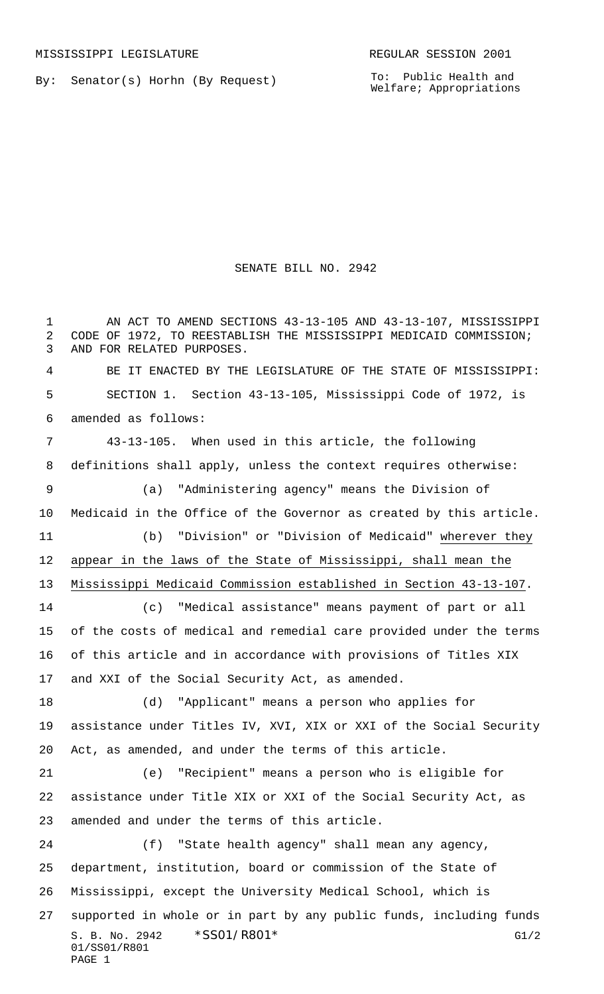By: Senator(s) Horhn (By Request)

To: Public Health and Welfare; Appropriations

## SENATE BILL NO. 2942

S. B. No. 2942 \* SS01/R801\* G1/2 01/SS01/R801 PAGE 1 1 AN ACT TO AMEND SECTIONS 43-13-105 AND 43-13-107, MISSISSIPPI CODE OF 1972, TO REESTABLISH THE MISSISSIPPI MEDICAID COMMISSION; AND FOR RELATED PURPOSES. BE IT ENACTED BY THE LEGISLATURE OF THE STATE OF MISSISSIPPI: SECTION 1. Section 43-13-105, Mississippi Code of 1972, is amended as follows: 43-13-105. When used in this article, the following definitions shall apply, unless the context requires otherwise: (a) "Administering agency" means the Division of Medicaid in the Office of the Governor as created by this article. (b) "Division" or "Division of Medicaid" wherever they appear in the laws of the State of Mississippi, shall mean the Mississippi Medicaid Commission established in Section 43-13-107. (c) "Medical assistance" means payment of part or all of the costs of medical and remedial care provided under the terms of this article and in accordance with provisions of Titles XIX and XXI of the Social Security Act, as amended. (d) "Applicant" means a person who applies for assistance under Titles IV, XVI, XIX or XXI of the Social Security Act, as amended, and under the terms of this article. (e) "Recipient" means a person who is eligible for assistance under Title XIX or XXI of the Social Security Act, as amended and under the terms of this article. (f) "State health agency" shall mean any agency, department, institution, board or commission of the State of Mississippi, except the University Medical School, which is supported in whole or in part by any public funds, including funds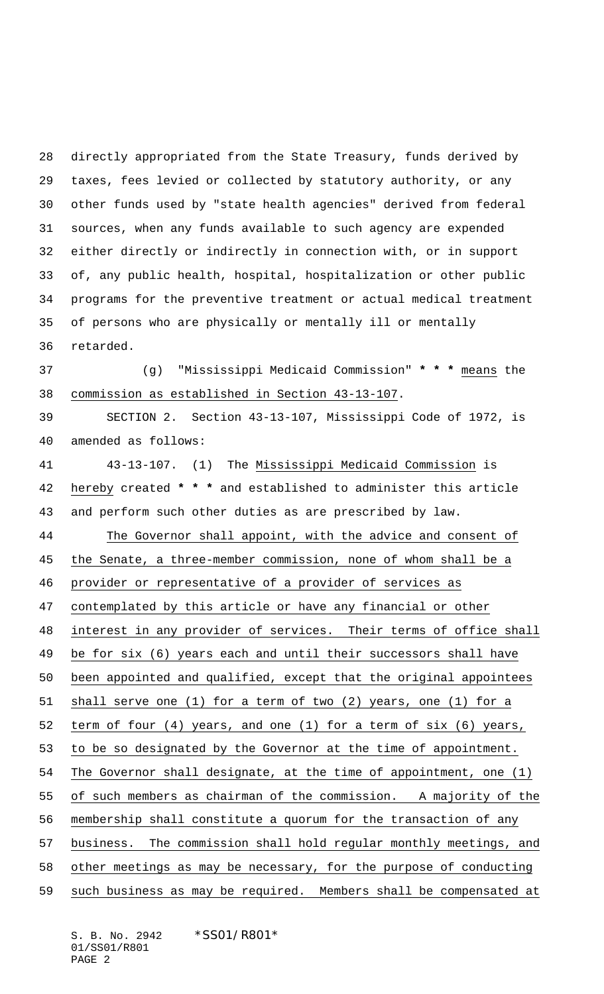directly appropriated from the State Treasury, funds derived by taxes, fees levied or collected by statutory authority, or any other funds used by "state health agencies" derived from federal sources, when any funds available to such agency are expended either directly or indirectly in connection with, or in support of, any public health, hospital, hospitalization or other public programs for the preventive treatment or actual medical treatment of persons who are physically or mentally ill or mentally retarded.

 (g) "Mississippi Medicaid Commission" **\* \* \*** means the commission as established in Section 43-13-107.

 SECTION 2. Section 43-13-107, Mississippi Code of 1972, is amended as follows:

 43-13-107. (1) The Mississippi Medicaid Commission is hereby created **\* \* \*** and established to administer this article and perform such other duties as are prescribed by law. 44 The Governor shall appoint, with the advice and consent of 45 the Senate, a three-member commission, none of whom shall be a provider or representative of a provider of services as contemplated by this article or have any financial or other interest in any provider of services. Their terms of office shall be for six (6) years each and until their successors shall have been appointed and qualified, except that the original appointees shall serve one (1) for a term of two (2) years, one (1) for a term of four (4) years, and one (1) for a term of six (6) years, to be so designated by the Governor at the time of appointment. The Governor shall designate, at the time of appointment, one (1) of such members as chairman of the commission. A majority of the membership shall constitute a quorum for the transaction of any business. The commission shall hold regular monthly meetings, and 58 other meetings as may be necessary, for the purpose of conducting such business as may be required. Members shall be compensated at

S. B. No. 2942 \* SS01/R801\* 01/SS01/R801 PAGE 2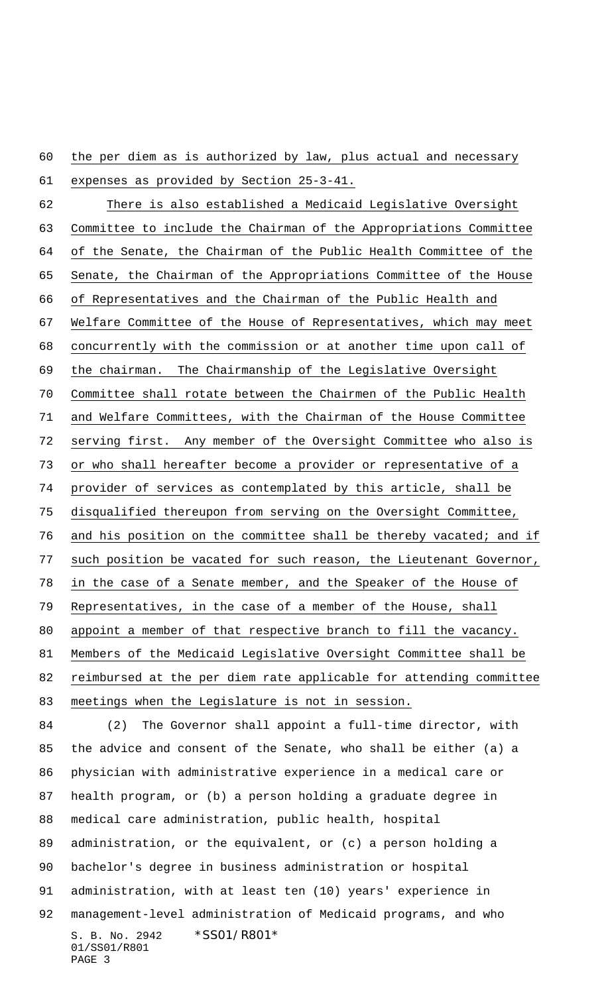the per diem as is authorized by law, plus actual and necessary

S. B. No. 2942 \*SS01/R801\* 01/SS01/R801 PAGE 3 expenses as provided by Section 25-3-41. There is also established a Medicaid Legislative Oversight Committee to include the Chairman of the Appropriations Committee of the Senate, the Chairman of the Public Health Committee of the Senate, the Chairman of the Appropriations Committee of the House of Representatives and the Chairman of the Public Health and Welfare Committee of the House of Representatives, which may meet concurrently with the commission or at another time upon call of the chairman. The Chairmanship of the Legislative Oversight Committee shall rotate between the Chairmen of the Public Health and Welfare Committees, with the Chairman of the House Committee serving first. Any member of the Oversight Committee who also is or who shall hereafter become a provider or representative of a provider of services as contemplated by this article, shall be disqualified thereupon from serving on the Oversight Committee, and his position on the committee shall be thereby vacated; and if 77 such position be vacated for such reason, the Lieutenant Governor, in the case of a Senate member, and the Speaker of the House of Representatives, in the case of a member of the House, shall appoint a member of that respective branch to fill the vacancy. Members of the Medicaid Legislative Oversight Committee shall be reimbursed at the per diem rate applicable for attending committee meetings when the Legislature is not in session. (2) The Governor shall appoint a full-time director, with the advice and consent of the Senate, who shall be either (a) a physician with administrative experience in a medical care or health program, or (b) a person holding a graduate degree in medical care administration, public health, hospital administration, or the equivalent, or (c) a person holding a bachelor's degree in business administration or hospital administration, with at least ten (10) years' experience in management-level administration of Medicaid programs, and who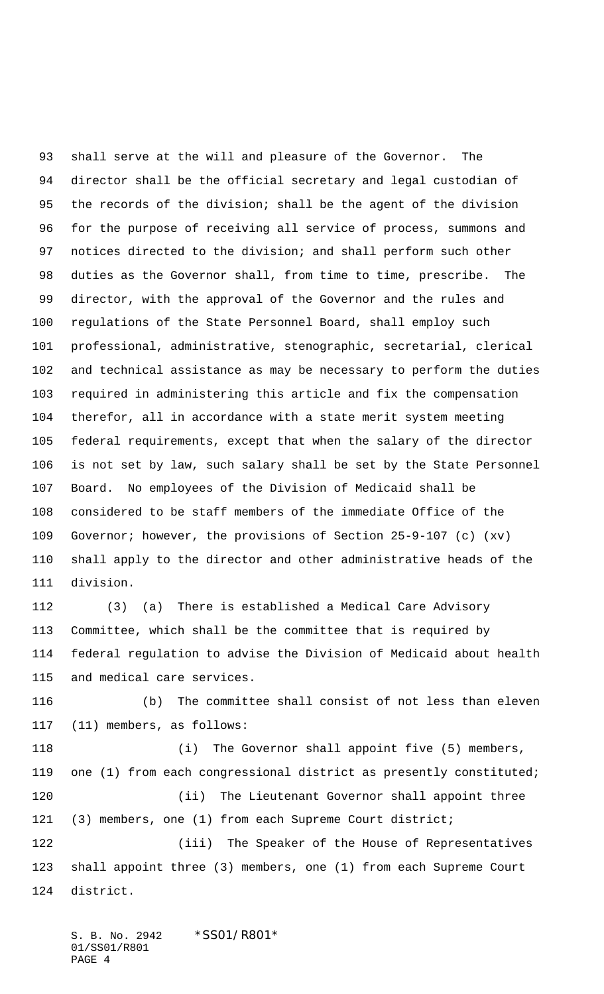shall serve at the will and pleasure of the Governor. The director shall be the official secretary and legal custodian of the records of the division; shall be the agent of the division for the purpose of receiving all service of process, summons and notices directed to the division; and shall perform such other duties as the Governor shall, from time to time, prescribe. The director, with the approval of the Governor and the rules and regulations of the State Personnel Board, shall employ such professional, administrative, stenographic, secretarial, clerical and technical assistance as may be necessary to perform the duties required in administering this article and fix the compensation therefor, all in accordance with a state merit system meeting federal requirements, except that when the salary of the director is not set by law, such salary shall be set by the State Personnel Board. No employees of the Division of Medicaid shall be considered to be staff members of the immediate Office of the Governor; however, the provisions of Section 25-9-107 (c) (xv) shall apply to the director and other administrative heads of the division.

 (3) (a) There is established a Medical Care Advisory Committee, which shall be the committee that is required by federal regulation to advise the Division of Medicaid about health and medical care services.

 (b) The committee shall consist of not less than eleven (11) members, as follows:

 (i) The Governor shall appoint five (5) members, one (1) from each congressional district as presently constituted; (ii) The Lieutenant Governor shall appoint three (3) members, one (1) from each Supreme Court district; (iii) The Speaker of the House of Representatives shall appoint three (3) members, one (1) from each Supreme Court district.

S. B. No. 2942 \* SS01/R801\* 01/SS01/R801 PAGE 4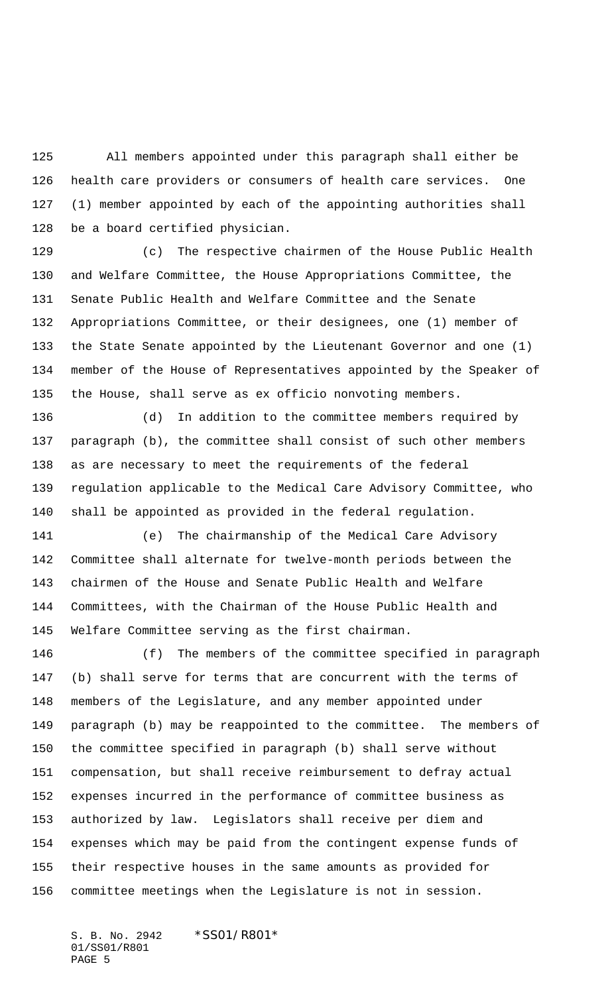All members appointed under this paragraph shall either be health care providers or consumers of health care services. One (1) member appointed by each of the appointing authorities shall be a board certified physician.

 (c) The respective chairmen of the House Public Health and Welfare Committee, the House Appropriations Committee, the Senate Public Health and Welfare Committee and the Senate Appropriations Committee, or their designees, one (1) member of the State Senate appointed by the Lieutenant Governor and one (1) member of the House of Representatives appointed by the Speaker of the House, shall serve as ex officio nonvoting members.

 (d) In addition to the committee members required by paragraph (b), the committee shall consist of such other members as are necessary to meet the requirements of the federal regulation applicable to the Medical Care Advisory Committee, who shall be appointed as provided in the federal regulation.

 (e) The chairmanship of the Medical Care Advisory Committee shall alternate for twelve-month periods between the chairmen of the House and Senate Public Health and Welfare Committees, with the Chairman of the House Public Health and Welfare Committee serving as the first chairman.

 (f) The members of the committee specified in paragraph (b) shall serve for terms that are concurrent with the terms of members of the Legislature, and any member appointed under paragraph (b) may be reappointed to the committee. The members of the committee specified in paragraph (b) shall serve without compensation, but shall receive reimbursement to defray actual expenses incurred in the performance of committee business as authorized by law. Legislators shall receive per diem and expenses which may be paid from the contingent expense funds of their respective houses in the same amounts as provided for committee meetings when the Legislature is not in session.

S. B. No. 2942 \* SS01/R801\* 01/SS01/R801 PAGE 5